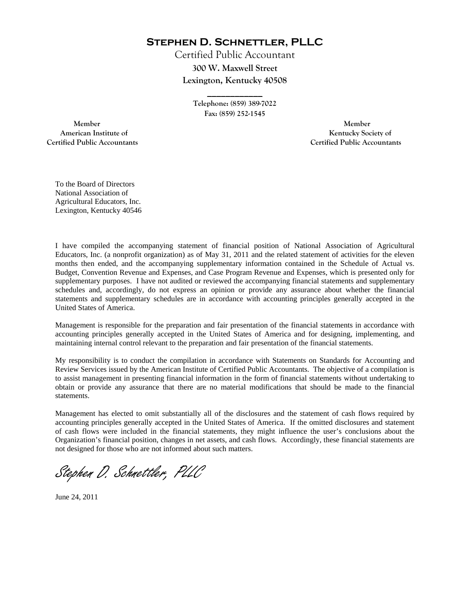**Stephen D. Schnettler, PLLC**

Certified Public Accountant **300 W. Maxwell Street Lexington, Kentucky 40508** 

> **Telephone: (859) 389-7022 Fax: (859) 252-1545**

**\_\_\_\_\_\_\_\_\_\_\_\_** 

 **Member Member Certified Public Accountants Certified Public Accountants** 

American Institute of **Kentucky Society of American Institute of** 

To the Board of Directors National Association of Agricultural Educators, Inc. Lexington, Kentucky 40546

I have compiled the accompanying statement of financial position of National Association of Agricultural Educators, Inc. (a nonprofit organization) as of May 31, 2011 and the related statement of activities for the eleven months then ended, and the accompanying supplementary information contained in the Schedule of Actual vs. Budget, Convention Revenue and Expenses, and Case Program Revenue and Expenses, which is presented only for supplementary purposes. I have not audited or reviewed the accompanying financial statements and supplementary schedules and, accordingly, do not express an opinion or provide any assurance about whether the financial statements and supplementary schedules are in accordance with accounting principles generally accepted in the United States of America.

Management is responsible for the preparation and fair presentation of the financial statements in accordance with accounting principles generally accepted in the United States of America and for designing, implementing, and maintaining internal control relevant to the preparation and fair presentation of the financial statements.

My responsibility is to conduct the compilation in accordance with Statements on Standards for Accounting and Review Services issued by the American Institute of Certified Public Accountants. The objective of a compilation is to assist management in presenting financial information in the form of financial statements without undertaking to obtain or provide any assurance that there are no material modifications that should be made to the financial statements.

Management has elected to omit substantially all of the disclosures and the statement of cash flows required by accounting principles generally accepted in the United States of America. If the omitted disclosures and statement of cash flows were included in the financial statements, they might influence the user's conclusions about the Organization's financial position, changes in net assets, and cash flows. Accordingly, these financial statements are not designed for those who are not informed about such matters.

Stephen D. Schnettler, PLLC

June 24, 2011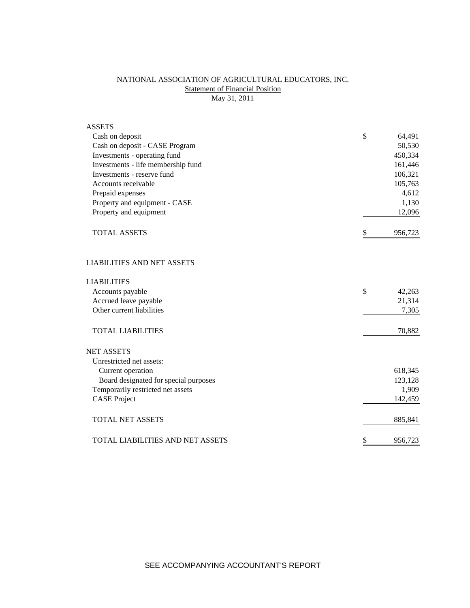## NATIONAL ASSOCIATION OF AGRICULTURAL EDUCATORS, INC. **Statement of Financial Position** May 31, 2011

| <b>ASSETS</b>                           |               |
|-----------------------------------------|---------------|
| Cash on deposit                         | \$<br>64,491  |
| Cash on deposit - CASE Program          | 50,530        |
| Investments - operating fund            | 450,334       |
| Investments - life membership fund      | 161,446       |
| Investments - reserve fund              | 106,321       |
| Accounts receivable                     | 105,763       |
| Prepaid expenses                        | 4,612         |
| Property and equipment - CASE           | 1,130         |
| Property and equipment                  | 12,096        |
| <b>TOTAL ASSETS</b>                     | \$<br>956,723 |
| <b>LIABILITIES AND NET ASSETS</b>       |               |
| <b>LIABILITIES</b>                      |               |
| Accounts payable                        | \$<br>42,263  |
| Accrued leave payable                   | 21,314        |
| Other current liabilities               | 7,305         |
| <b>TOTAL LIABILITIES</b>                | 70,882        |
| <b>NET ASSETS</b>                       |               |
| Unrestricted net assets:                |               |
| Current operation                       | 618,345       |
| Board designated for special purposes   | 123,128       |
| Temporarily restricted net assets       | 1,909         |
| <b>CASE Project</b>                     | 142,459       |
| <b>TOTAL NET ASSETS</b>                 | 885,841       |
| <b>TOTAL LIABILITIES AND NET ASSETS</b> | \$<br>956,723 |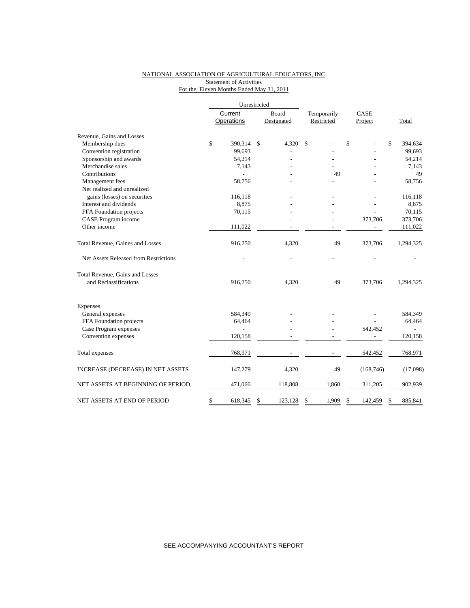## NATIONAL ASSOCIATION OF AGRICULTURAL EDUCATORS, INC. Statement of Activities For the Eleven Months Ended May 31, 2011

|                                       |         | Unrestricted   |       |            |             |               |    |           |
|---------------------------------------|---------|----------------|-------|------------|-------------|---------------|----|-----------|
|                                       | Current |                | Board |            | Temporarily | CASE          |    |           |
|                                       |         | Operations     |       | Designated | Restricted  | Project       |    | Total     |
| Revenue, Gains and Losses             |         |                |       |            |             |               |    |           |
| Membership dues                       | \$      | 390,314        | \$    | 4,320      | \$          | \$            | \$ | 394,634   |
| Convention registration               |         | 99,693         |       |            |             |               |    | 99,693    |
| Sponsorship and awards                |         | 54,214         |       |            |             |               |    | 54,214    |
| Merchandise sales                     |         | 7,143          |       |            |             |               |    | 7,143     |
| Contributions                         |         |                |       |            | 49          |               |    | 49        |
| Management fees                       |         | 58,756         |       |            |             |               |    | 58,756    |
| Net realized and unrealized           |         |                |       |            |             |               |    |           |
| gains (losses) on securities          |         | 116,118        |       |            |             |               |    | 116,118   |
| Interest and dividends                |         | 8,875          |       |            |             |               |    | 8,875     |
| FFA Foundation projects               |         | 70,115         |       |            |             |               |    | 70,115    |
| CASE Program income                   |         |                |       |            |             | 373,706       |    | 373,706   |
| Other income                          |         | 111,022        |       |            |             |               |    | 111,022   |
| Total Revenue, Gaines and Losses      |         | 916,250        |       | 4,320      | 49          | 373,706       |    | 1,294,325 |
| Net Assets Released from Restrictions |         |                |       |            |             |               |    |           |
| Total Revenue, Gains and Losses       |         |                |       |            |             |               |    |           |
| and Reclassifications                 |         | 916,250        |       | 4,320      | 49          | 373,706       |    | 1,294,325 |
| <b>Expenses</b>                       |         |                |       |            |             |               |    |           |
| General expenses                      |         | 584,349        |       |            |             |               |    | 584,349   |
| FFA Foundation projects               |         | 64,464         |       |            |             |               |    | 64,464    |
| Case Program expenses                 |         | $\overline{a}$ |       |            |             | 542,452       |    |           |
| Convention expenses                   |         | 120,158        |       |            |             |               |    | 120,158   |
| Total expenses                        |         | 768,971        |       |            |             | 542,452       |    | 768,971   |
| INCREASE (DECREASE) IN NET ASSETS     |         | 147,279        |       | 4,320      | 49          | (168, 746)    |    | (17,098)  |
| NET ASSETS AT BEGINNING OF PERIOD     |         | 471,066        |       | 118,808    | 1,860       | 311,205       |    | 902,939   |
| NET ASSETS AT END OF PERIOD           | \$      | 618,345        | \$    | 123,128    | \$<br>1,909 | \$<br>142,459 | \$ | 885,841   |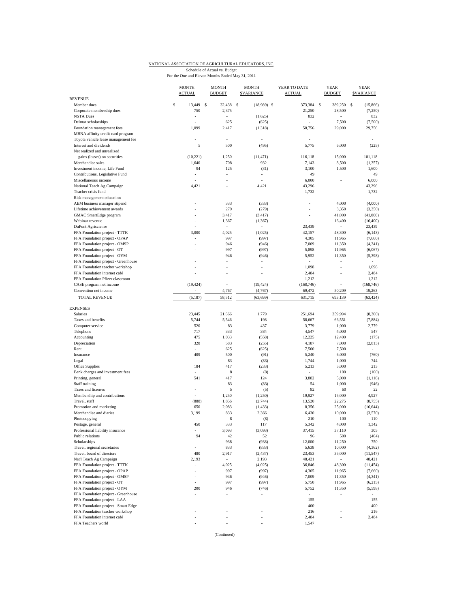## NATIONAL ASSOCIATION OF AGRICULTURAL EDUCATORS, INC. Schedule of Actual vs. Budget<br>For the One and Eleven Months Ended May 31, 2011

|                                          | <b>MONTH</b><br><b>ACTUAL</b> | <b>MONTH</b><br><b>BUDGET</b> | <b>MONTH</b><br><b>SVARIANCE</b> | YEAR TO DATE<br><b>ACTUAL</b> | <b>YEAR</b><br><b>BUDGET</b> | <b>YEAR</b><br><b><i>SVARIANCE</i></b> |
|------------------------------------------|-------------------------------|-------------------------------|----------------------------------|-------------------------------|------------------------------|----------------------------------------|
| <b>REVENUE</b>                           |                               |                               |                                  |                               |                              |                                        |
| Member dues<br>Corporate membership dues | \$<br>13.449<br>750           | <b>S</b><br>32,438<br>2,375   | - \$<br>$(18,989)$ \$            | 373,384<br>21,250             | - S<br>389.250<br>28,500     | s<br>(15, 866)<br>(7,250)              |
| <b>NSTA Dues</b>                         |                               | ÷,                            | (1,625)                          | 832                           |                              | 832                                    |
| Delmar scholarships                      |                               | 625                           | (625)                            |                               | 7,500                        | (7,500)                                |
| Foundation management fees               | 1,099                         | 2,417                         | (1, 318)                         | 58.756                        | 29,000                       | 29,756                                 |
| MBNA affinity credit card program        |                               |                               |                                  |                               |                              |                                        |
| Toyota vehicle lease management fee      |                               |                               |                                  |                               |                              |                                        |
| Interest and dividends                   | 5                             | 500                           | (495)                            | 5,775                         | 6,000                        | (225)                                  |
| Net realized and unrealized              |                               |                               |                                  |                               |                              |                                        |
| gains (losses) on securities             | (10,221)                      | 1,250                         | (11, 471)                        | 116,118                       | 15,000                       | 101,118                                |
| Merchandise sales                        | 1,640                         | 708                           | 932                              | 7,143                         | 8,500                        | (1, 357)                               |
| Investment income, Life Fund             | 94                            | 125                           | (31)                             | 3,100                         | 1,500                        | 1,600                                  |
| Contributions, Legislative Fund          |                               | ÷,                            | ÷,                               | 49                            |                              | 49                                     |
| Miscellaneous income                     |                               | ÷                             |                                  | 6,000                         |                              | 6,000                                  |
| National Teach Ag Campaign               | 4,421                         |                               | 4,421                            | 43,296                        |                              | 43,296                                 |
| Teacher crisis fund                      |                               | ÷                             | ٠                                | 1,732                         |                              | 1,732                                  |
| Risk management education                |                               |                               | ÷.                               | ÷,                            |                              | ÷                                      |
| AEM business manager stipend             |                               | 333                           | (333)                            | ÷,                            | 4,000                        | (4,000)                                |
| Lifetime achievement awards              |                               | 279                           | (279)                            |                               | 3,350                        | (3,350)                                |
| GMAC SmartEdge program                   |                               | 3,417                         | (3, 417)                         | ٠                             | 41,000                       | (41,000)                               |
| Webinar revenue                          |                               | 1,367                         | (1, 367)                         |                               | 16,400                       | (16, 400)                              |
| <b>DuPont Agrisciense</b>                |                               | $\sim$                        |                                  | 23,439                        | $\sim$                       | 23,439                                 |
| FFA Foundation project - TTTK            | 3,000                         | 4,025                         | (1,025)                          | 42,157                        | 48,300                       | (6, 143)                               |
| FFA Foundation project - OPAP            |                               | 997                           | (997)                            | 4,305                         | 11,965                       | (7,660)                                |
| FFA Foundation project - OMSP            |                               | 946                           | (946)                            | 7,009                         | 11,350                       | (4, 341)                               |
| FFA Foundation project - OT              |                               | 997                           | (997)                            | 5,898                         | 11,965                       | (6,067)                                |
| FFA Foundation project - OYM             |                               | 946                           | (946)                            | 5,952                         | 11,350                       | (5, 398)                               |
| FFA Foundation project - Greenhouse      |                               |                               |                                  | $\sim$                        | ÷,                           | $\sim$                                 |
| FFA Foundation teacher workshop          |                               |                               |                                  | 1,098                         |                              | 1,098                                  |
| FFA Foundation internet café             |                               |                               |                                  | 2,484                         |                              | 2,484                                  |
| FFA Foundation Pfizer classroom          |                               |                               |                                  | 1,212                         |                              | 1,212                                  |
| CASE program net income                  | (19, 424)                     |                               | (19, 424)                        | (168, 746)                    |                              | (168, 746)                             |
| Convention net income                    |                               | 4,767                         | (4,767)                          | 69,472                        | 50.209                       | 19,263                                 |
| <b>TOTAL REVENUE</b>                     | (5, 187)                      | 58,512                        | (63, 699)                        | 631,715                       | 695,139                      | (63, 424)                              |
|                                          |                               |                               |                                  |                               |                              |                                        |
| <b>EXPENSES</b>                          |                               |                               |                                  |                               |                              |                                        |
| Salaries                                 | 23,445                        | 21,666                        | 1,779                            | 251,694                       | 259,994                      | (8,300)                                |
| Taxes and benefits                       | 5,744                         | 5,546                         | 198                              | 58,667                        | 66,551                       | (7, 884)                               |
| Computer service                         | 520                           | 83                            | 437                              | 3,779                         | 1,000                        | 2,779                                  |
| Telephone                                | 717<br>475                    | 333<br>1,033                  | 384                              | 4,547                         | 4,000                        | 547                                    |
| Accounting                               |                               |                               | (558)                            | 12,225                        | 12,400                       | (175)                                  |
| Depreciation                             | 328                           | 583                           | (255)                            | 4,187                         | 7,000                        | (2, 813)                               |
| Rent                                     | $\bar{a}$                     | 625                           | (625)                            | 7,500                         | 7,500                        | $\sim$                                 |
| Insurance                                | 409                           | 500                           | (91)                             | 5,240                         | 6,000                        | (760)                                  |
| Legal                                    |                               | 83                            | (83)                             | 1,744                         | 1,000                        | 744                                    |
| <b>Office Supplies</b>                   | 184                           | 417                           | (233)                            | 5,213                         | 5,000                        | 213                                    |
| Bank charges and investment fees         |                               | 8                             | (8)                              | $\sim$                        | 100                          | (100)                                  |
| Printing, general                        | 541                           | 417                           | 124                              | 3,882                         | 5,000                        | (1, 118)                               |
| Staff training                           |                               | 83                            | (83)                             | 54                            | 1,000                        | (946)                                  |
| Taxes and licenses                       |                               | 5                             | (5)                              | 82                            | 60                           | 22                                     |
| Membership and contributions             |                               | 1,250                         | (1,250)                          | 19,927                        | 15,000                       | 4,927                                  |
| Travel, staff                            | (888)                         | 1,856                         | (2,744)                          | 13,520                        | 22,275                       | (8, 755)                               |
| Promotion and marketing                  | 650                           | 2,083                         | (1, 433)                         | 8,356                         | 25,000                       | (16, 644)                              |
| Merchandise and diaries                  | 3,199                         | 833                           | 2,366                            | 6,430                         | 10,000                       | (3,570)                                |
| Photocopying                             |                               | 8                             | (8)                              | 210                           | 100                          | 110                                    |
| Postage, general                         | 450                           | 333                           | 117                              | 5,342                         | 4,000                        | 1,342                                  |
| Professional liability insurance         |                               | 3,093                         | (3,093)                          | 37,415                        | 37,110                       | 305                                    |
| Public relations                         | 94                            | 42                            | 52                               | 96                            | 500                          | (404)                                  |
| Scholarships                             |                               | 938                           | (938)                            | 12,000                        | 11,250                       | 750                                    |
| Travel, regional secretaries             |                               | 833                           | (833)                            | 5,638                         | 10,000                       | (4, 362)                               |
| Travel, board of directors               | 480                           | 2,917                         | (2, 437)                         | 23,453                        | 35,000                       | (11, 547)                              |
| Nat'l Teach Ag Campaign                  | 2,193                         | $\overline{\phantom{a}}$      | 2,193                            | 48,421                        | $\overline{\phantom{a}}$     | 48,421                                 |
| FFA Foundation project - TTTK            |                               | 4,025                         | (4,025)                          | 36,846                        | 48,300                       | (11, 454)                              |
| FFA Foundation project - OPAP            | ÷,                            | 997                           | (997)                            | 4,305                         | 11,965                       | (7,660)                                |
| FFA Foundation project - OMSP            |                               | 946                           | (946)                            | 7,009                         | 11,350                       | (4, 341)                               |
| FFA Foundation project - OT              |                               | 997                           | (997)                            | 5,750                         | 11,965                       | (6,215)                                |
| FFA Foundation project - OYM             | 200                           | 946                           | (746)                            | 5,752                         | 11,350                       | (5,598)                                |
| FFA Foundation project - Greenhouse      | ÷,                            | ÷,                            |                                  | $\overline{\phantom{a}}$      |                              |                                        |
| FFA Foundation project - LAA             |                               |                               |                                  | 155                           |                              | 155                                    |
| FFA Foundation project - Smart Edge      |                               |                               |                                  | 400                           |                              | 400                                    |
| FFA Foundation teacher workshop          |                               |                               |                                  | 216                           |                              | 216                                    |
| FFA Foundation internet café             |                               |                               |                                  | 2,484                         |                              | 2,484                                  |
| FFA Teachers world                       |                               |                               |                                  | 1,547                         |                              |                                        |
|                                          |                               |                               |                                  |                               |                              |                                        |

(Continued)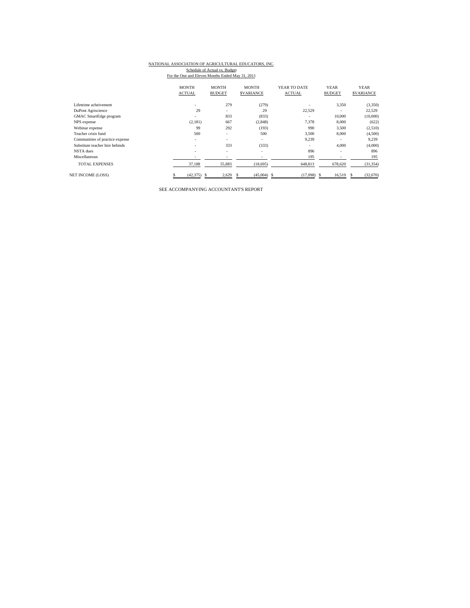# NATIONAL ASSOCIATION OF AGRICULTURAL EDUCATORS, INC.

Schedule of Actual vs. Budget<br>For the One and Eleven Months Ended May 31, 2011

|                                 | <b>MONTH</b>  | <b>MONTH</b>             | <b>MONTH</b>             | YEAR TO DATE  | <b>YEAR</b>              | <b>YEAR</b>      |
|---------------------------------|---------------|--------------------------|--------------------------|---------------|--------------------------|------------------|
|                                 | <b>ACTUAL</b> | <b>BUDGET</b>            | <b>SVARIANCE</b>         | <b>ACTUAL</b> | <b>BUDGET</b>            | <b>SVARIANCE</b> |
| Lifeteime acheivement           | ٠             | 279                      | (279)                    |               | 3,350                    | (3,350)          |
| DuPont Agriscience              | 29            | $\overline{\phantom{a}}$ | 29                       | 22.529        |                          | 22,529           |
| GMAC SmartEdge program          | ٠             | 833                      | (833)                    |               | 10,000                   | (10,000)         |
| NPS expense                     | (2,181)       | 667                      | (2,848)                  | 7,378         | 8,000                    | (622)            |
| Webinar expense                 | 99            | 292                      | (193)                    | 990           | 3,500                    | (2,510)          |
| Teacher crisis fund             | 500           | ٠                        | 500                      | 3.500         | 8,000                    | (4,500)          |
| Communities of practice expense | ٠             | ٠                        | ۰                        | 9,239         |                          | 9,239            |
| Substitute teacher hire behinds | ٠             | 333                      | (333)                    |               | 4,000                    | (4,000)          |
| NSTA dues                       | ٠             | ٠                        | $\overline{\phantom{a}}$ | 896           | $\overline{\phantom{a}}$ | 896              |
| Miscellaneous                   | -             |                          |                          | 195           |                          | 195              |
| <b>TOTAL EXPENSES</b>           | 37,188        | 55,883                   | (18,695)                 | 648,813       | 678,620                  | (31, 354)        |
| <b>NET INCOME (LOSS)</b>        | $(42,375)$ \$ | 2,629                    | $(45,004)$ \$            | (17,098)      | 16,519<br>£.             | (32,070)<br>s    |

SEE ACCOMPANYING ACCOUNTANT'S REPORT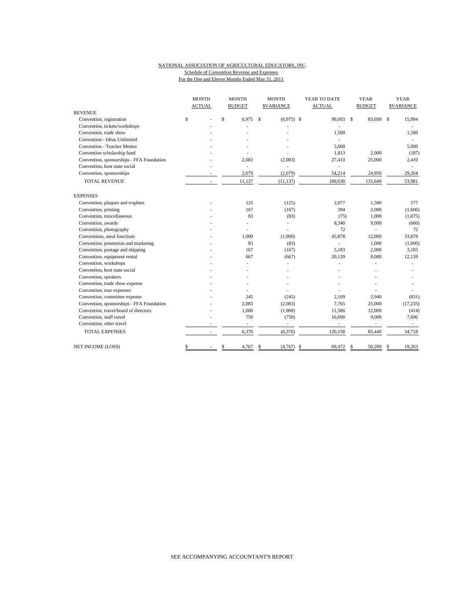#### NATIONAL ASSOCIATION OF AGRICULTURAL EDUCATORS, INC. Schedule of Convention Revenue and Expenses For the One and Eleven Months Ended May 31, 2011

|                                           | <b>MONTH</b>             |              | <b>MONTH</b>             |              | <b>MONTH</b>     | YEAR TO DATE             | <b>YEAR</b>              |             | <b>YEAR</b>      |
|-------------------------------------------|--------------------------|--------------|--------------------------|--------------|------------------|--------------------------|--------------------------|-------------|------------------|
|                                           | <b>ACTUAL</b>            |              | <b>BUDGET</b>            |              | <b>SVARIANCE</b> | <b>ACTUAL</b>            | <b>BUDGET</b>            |             | <b>SVARIANCE</b> |
| <b>REVENUE</b>                            |                          |              |                          |              |                  |                          |                          |             |                  |
| Convention, registration                  | \$                       | $\mathsf{s}$ | 6.975                    | $\mathbf{s}$ | $(6,975)$ \$     | 99.693 \$                | 83,699                   | $\mathbf S$ | 15,994           |
| Convention, tickets/workshops             |                          |              |                          |              |                  |                          |                          |             |                  |
| Convention, trade show                    |                          |              |                          |              |                  | 1,500                    |                          |             | 1,500            |
| Convention - Ideas Unlimited              |                          |              |                          |              |                  |                          |                          |             | $\sim$           |
| Convention - Teacher Mentor               |                          |              |                          |              |                  | 5,000                    |                          |             | 5.000            |
| Convention scholarship fund               |                          |              |                          |              |                  | 1,813                    | 2,000                    |             | (187)            |
| Convention, sponsorships - FFA Foundation |                          |              | 2,083                    |              | (2,083)          | 27,410                   | 25,000                   |             | 2,410            |
| Convention, host state social             |                          |              | ÷.                       |              | L.               |                          |                          |             |                  |
| Convention, sponsorships                  |                          |              | 2,079                    |              | (2,079)          | 54,214                   | 24,950                   |             | 29,264           |
| TOTAL REVENUE                             | ٠                        |              | 11,137                   |              | (11, 137)        | 189,630                  | 135,649                  |             | 53,981           |
| <b>EXPENSES</b>                           |                          |              |                          |              |                  |                          |                          |             |                  |
| Convention, plaques and trophies          |                          |              | 125                      |              | (125)            | 2,077                    | 1,500                    |             | 577              |
| Convention, printing                      |                          |              | 167                      |              | (167)            | 394                      | 2,000                    |             | (1,606)          |
| Convention, miscellaneous                 |                          |              | 83                       |              | (83)             | (75)                     | 1,000                    |             | (1,075)          |
| Convention, awards                        |                          |              |                          |              | ä,               | 8,340                    | 9,000                    |             | (660)            |
| Convention, photography                   |                          |              |                          |              | L.               | 72                       |                          |             | 72               |
| Conventions, meal functions               |                          |              | 1,000                    |              | (1,000)          | 45,878                   | 12,000                   |             | 33,878           |
| Convention, promotion and marketing       |                          |              | 83                       |              | (83)             | ÷                        | 1,000                    |             | (1,000)          |
| Convention, postage and shipping          |                          |              | 167                      |              | (167)            | 5,183                    | 2,000                    |             | 3,183            |
| Convention, equipment rental              |                          |              | 667                      |              | (667)            | 20,139                   | 8,000                    |             | 12,139           |
| Convention, workshops                     |                          |              |                          |              |                  |                          |                          |             |                  |
| Convention, host state social             |                          |              |                          |              |                  |                          |                          |             |                  |
| Convention, speakers                      |                          |              |                          |              |                  |                          |                          |             |                  |
| Convention, trade show expense            |                          |              |                          |              |                  |                          |                          |             |                  |
| Convention, tour expenses                 |                          |              |                          |              |                  |                          |                          |             |                  |
| Convention, committee expense             |                          |              | 245                      |              | (245)            | 2.109                    | 2,940                    |             | (831)            |
| Convention, sponsorships - FFA Foundation |                          |              | 2,083                    |              | (2,083)          | 7.765                    | 25,000                   |             | (17, 235)        |
| Convention, travel/board of directors     |                          |              | 1,000                    |              | (1,000)          | 11,586                   | 12,000                   |             | (414)            |
| Convention, staff travel                  |                          |              | 750                      |              | (750)            | 16,690                   | 9,000                    |             | 7,690            |
| Convention, other travel                  |                          |              | $\overline{\phantom{a}}$ |              | $\frac{1}{2}$    | $\overline{\phantom{a}}$ | $\overline{\phantom{a}}$ |             | $\sim$           |
| <b>TOTAL EXPENSES</b>                     | $\overline{\phantom{a}}$ |              | 6,370                    |              | (6,370)          | 120,158                  | 85,440                   |             | 34,718           |
| <b>NET INCOME (LOSS)</b>                  | \$                       |              | \$<br>4,767              |              | (4,767)          | -\$<br>69,472            | \$<br>50,209             | \$          | 19,263           |